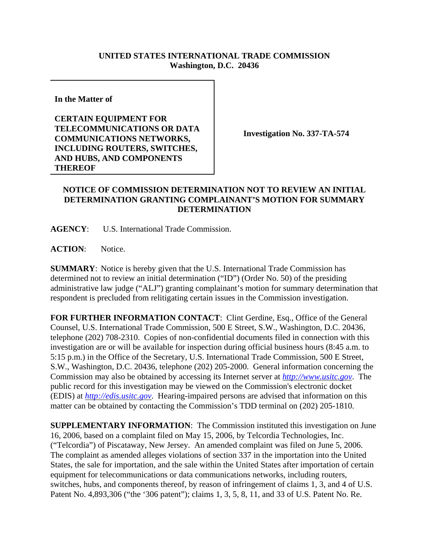## **UNITED STATES INTERNATIONAL TRADE COMMISSION Washington, D.C. 20436**

**In the Matter of** 

**CERTAIN EQUIPMENT FOR TELECOMMUNICATIONS OR DATA COMMUNICATIONS NETWORKS, INCLUDING ROUTERS, SWITCHES, AND HUBS, AND COMPONENTS THEREOF**

**Investigation No. 337-TA-574**

## **NOTICE OF COMMISSION DETERMINATION NOT TO REVIEW AN INITIAL DETERMINATION GRANTING COMPLAINANT'S MOTION FOR SUMMARY DETERMINATION**

**AGENCY**: U.S. International Trade Commission.

**ACTION**: Notice.

**SUMMARY**: Notice is hereby given that the U.S. International Trade Commission has determined not to review an initial determination ("ID") (Order No. 50) of the presiding administrative law judge ("ALJ") granting complainant's motion for summary determination that respondent is precluded from relitigating certain issues in the Commission investigation.

FOR FURTHER INFORMATION CONTACT: Clint Gerdine, Esq., Office of the General Counsel, U.S. International Trade Commission, 500 E Street, S.W., Washington, D.C. 20436, telephone (202) 708-2310. Copies of non-confidential documents filed in connection with this investigation are or will be available for inspection during official business hours (8:45 a.m. to 5:15 p.m.) in the Office of the Secretary, U.S. International Trade Commission, 500 E Street, S.W., Washington, D.C. 20436, telephone (202) 205-2000. General information concerning the Commission may also be obtained by accessing its Internet server at *http://www.usitc.gov*. The public record for this investigation may be viewed on the Commission's electronic docket (EDIS) at *http://edis.usitc.gov*. Hearing-impaired persons are advised that information on this matter can be obtained by contacting the Commission's TDD terminal on (202) 205-1810.

**SUPPLEMENTARY INFORMATION**: The Commission instituted this investigation on June 16, 2006, based on a complaint filed on May 15, 2006, by Telcordia Technologies, Inc. ("Telcordia") of Piscataway, New Jersey. An amended complaint was filed on June 5, 2006. The complaint as amended alleges violations of section 337 in the importation into the United States, the sale for importation, and the sale within the United States after importation of certain equipment for telecommunications or data communications networks, including routers, switches, hubs, and components thereof, by reason of infringement of claims 1, 3, and 4 of U.S. Patent No. 4,893,306 ("the '306 patent"); claims 1, 3, 5, 8, 11, and 33 of U.S. Patent No. Re.